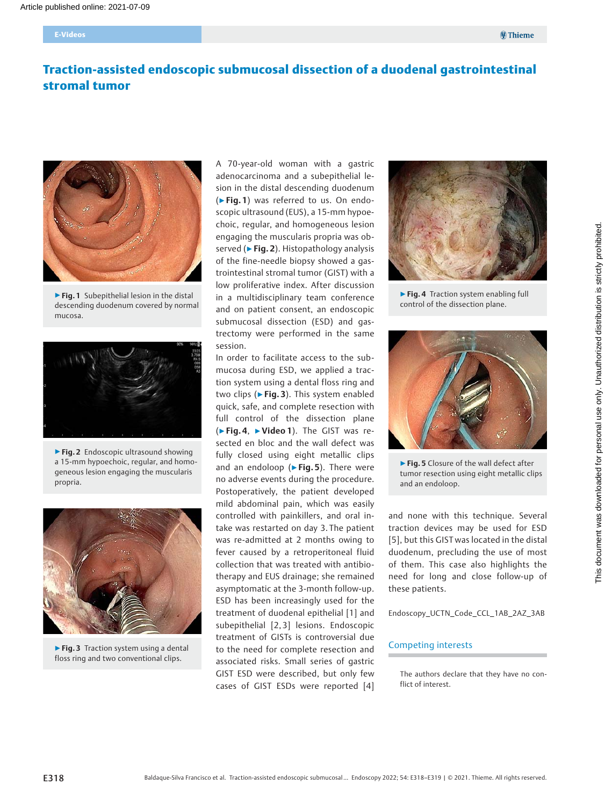# Traction-assisted endoscopic submucosal dissection of a duodenal gastrointestinal stromal tumor



▶ Fig. 1 Subepithelial lesion in the distal descending duodenum covered by normal mucosa.



▶ Fig. 2 Endoscopic ultrasound showing a 15-mm hypoechoic, regular, and homogeneous lesion engaging the muscularis propria.



▶ Fig. 3 Traction system using a dental floss ring and two conventional clips.

A 70-year-old woman with a gastric adenocarcinoma and a subepithelial lesion in the distal descending duodenum (▶Fig. 1) was referred to us. On endoscopic ultrasound (EUS), a 15-mm hypoechoic, regular, and homogeneous lesion engaging the muscularis propria was observed (► Fig. 2). Histopathology analysis of the fine-needle biopsy showed a gastrointestinal stromal tumor (GIST) with a low proliferative index. After discussion in a multidisciplinary team conference and on patient consent, an endoscopic submucosal dissection (ESD) and gastrectomy were performed in the same session.

In order to facilitate access to the submucosa during ESD, we applied a traction system using a dental floss ring and two clips (► Fig. 3). This system enabled quick, safe, and complete resection with full control of the dissection plane (▶Fig. 4, ▶Video 1). The GIST was resected en bloc and the wall defect was fully closed using eight metallic clips and an endoloop ( $\triangleright$  Fig. 5). There were no adverse events during the procedure. Postoperatively, the patient developed mild abdominal pain, which was easily controlled with painkillers, and oral intake was restarted on day 3. The patient was re-admitted at 2 months owing to fever caused by a retroperitoneal fluid collection that was treated with antibiotherapy and EUS drainage; she remained asymptomatic at the 3-month follow-up. ESD has been increasingly used for the treatment of duodenal epithelial [1] and subepithelial [2, 3] lesions. Endoscopic treatment of GISTs is controversial due to the need for complete resection and associated risks. Small series of gastric GIST ESD were described, but only few cases of GIST ESDs were reported [4]



▶ Fig. 4 Traction system enabling full control of the dissection plane.



▶ Fig. 5 Closure of the wall defect after tumor resection using eight metallic clips and an endoloop.

and none with this technique. Several traction devices may be used for ESD [5], but this GIST was located in the distal duodenum, precluding the use of most of them. This case also highlights the need for long and close follow-up of these patients.

Endoscopy\_UCTN\_Code\_CCL\_1AB\_2AZ\_3AB

#### Competing interests

The authors declare that they have no conflict of interest.